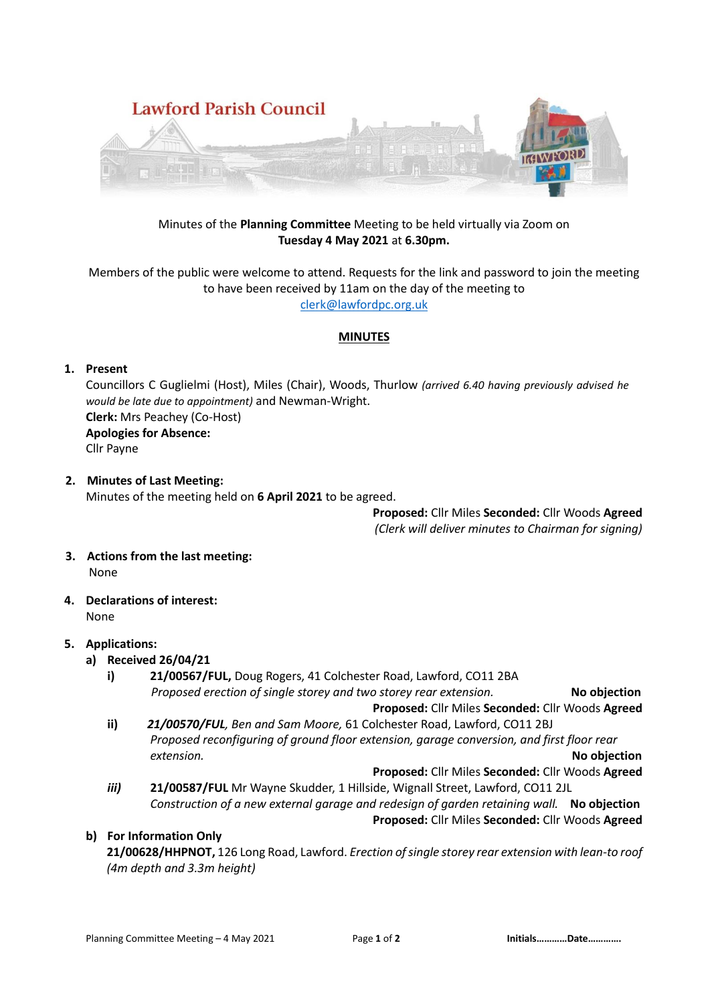

### Minutes of the **Planning Committee** Meeting to be held virtually via Zoom on **Tuesday 4 May 2021** at **6.30pm.**

Members of the public were welcome to attend. Requests for the link and password to join the meeting to have been received by 11am on the day of the meeting to [clerk@lawfordpc.org.uk](mailto:clerk@lawfordpc.org.uk)

### **MINUTES**

# **1. Present**

Councillors C Guglielmi (Host), Miles (Chair), Woods, Thurlow *(arrived 6.40 having previously advised he would be late due to appointment)* and Newman-Wright. **Clerk:** Mrs Peachey (Co-Host) **Apologies for Absence:**  Cllr Payne

**2. Minutes of Last Meeting:** Minutes of the meeting held on **6 April 2021** to be agreed.

> **Proposed:** Cllr Miles **Seconded:** Cllr Woods **Agreed** *(Clerk will deliver minutes to Chairman for signing)*

- **3. Actions from the last meeting:** None
- **4. Declarations of interest:** None

# **5. Applications:**

- **a) Received 26/04/21**
	- **i) 21/00567/FUL,** Doug Rogers, 41 Colchester Road, Lawford, CO11 2BA  *Proposed erection of single storey and two storey rear extension.* **No objection**
	- **Proposed:** Cllr Miles **Seconded:** Cllr Woods **Agreed ii)** *21/00570/FUL, Ben and Sam Moore,* 61 Colchester Road, Lawford, CO11 2BJ
	- *Proposed reconfiguring of ground floor extension, garage conversion, and first floor rear extension.* **No objection Proposed:** Cllr Miles **Seconded:** Cllr Woods **Agreed**
	- *iii)* **21/00587/FUL** Mr Wayne Skudder, 1 Hillside, Wignall Street, Lawford, CO11 2JL *Construction of a new external garage and redesign of garden retaining wall.* **No objection**
		- **Proposed:** Cllr Miles **Seconded:** Cllr Woods **Agreed**

**b) For Information Only** 

 **21/00628/HHPNOT,** 126 Long Road, Lawford. *Erection of single storey rear extension with lean-to roof (4m depth and 3.3m height)*